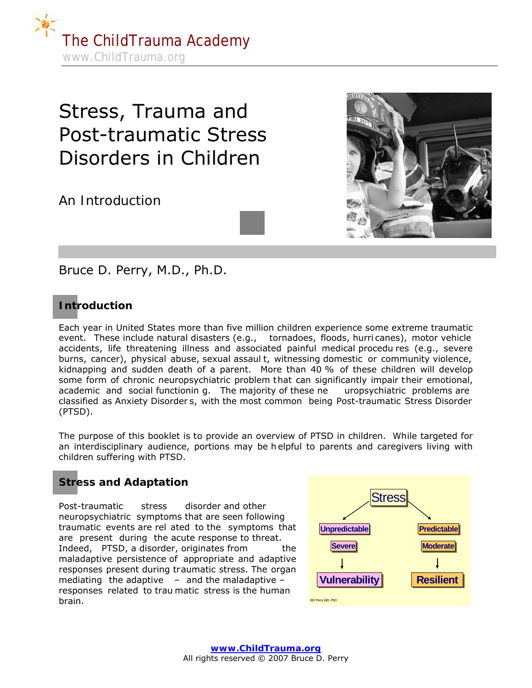

# Stress, Trauma and Post-traumatic Stress Disorders in Children

*An Introduction*



Bruce D. Perry, M.D., Ph.D.

# **Introduction**

Each year in United States more than five million children experience some extreme traumatic event. These include natural disasters (e.g., tornadoes, floods, hurri canes), motor vehicle accidents, life threatening illness and associated painful medical procedu res (e.g., severe burns, cancer), physical abuse, sexual assaul t, witnessing domestic or community violence, kidnapping and sudden death of a parent. More than 40 % of these children will develop some form of chronic neuropsychiatric problem that can significantly impair their emotional, academic and social functionin g. The majority of these ne uropsychiatric problems are classified as Anxiety Disorder s, with the most common being Post-traumatic Stress Disorder (PTSD).

The purpose of this booklet is to provide an overview of PTSD in children. While targeted for an interdisciplinary audience, portions may be h elpful to parents and caregivers living with children suffering with PTSD.

# **Stress and Adaptation**

Post-traumatic stress disorder and other neuropsychiatric symptoms that are seen following traumatic events are rel ated to the symptoms that are present during the acute response to threat. Indeed, PTSD, a disorder, originates from the maladaptive persistence of *appropriate* and *adaptive* responses present during traumatic stress. The organ mediating the adaptive  $-$  and the maladaptive  $$ responses related to trau matic stress is the human **brain. BD** Perry MD, PhD<sup></sup> **BD** Perry MD, PhD

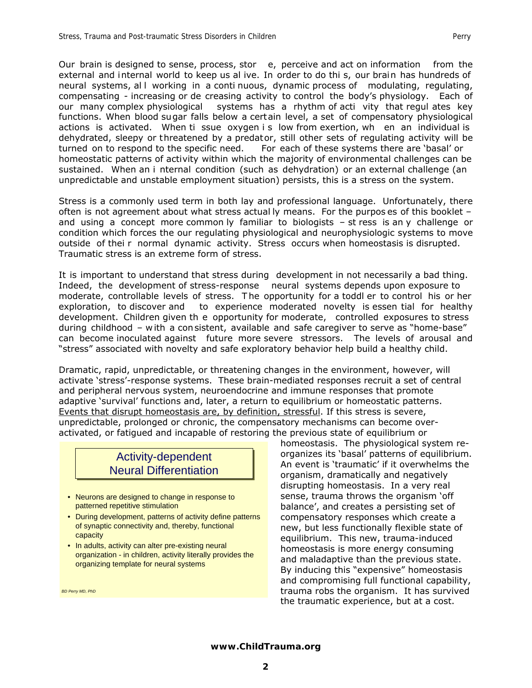Our brain is designed to sense, process, stor e, perceive and act on information from the external and internal world to keep us al ive. In order to do thi s, our brain has hundreds of neural systems, all working in a conti nuous, dynamic process of modulating, regulating, compensating - increasing or de creasing activity to control the body's physiology. Each of our many complex physiological systems has a rhythm of acti vity that regul ates key functions. When blood sugar falls below a certain level, a set of compensatory physiological actions is activated. When ti ssue oxygen i s low from exertion, wh en an individual is dehydrated, sleepy or threatened by a predator, still other sets of regulating activity will be turned on to respond to the specific need. For each of these systems there are 'basal' or homeostatic patterns of activity within which the majority of environmental challenges can be sustained. When an i nternal condition (such as dehydration) or an external challenge (an unpredictable and unstable employment situation) persists, this is a stress on the system.

Stress is a commonly used term in both lay and professional language. Unfortunately, there often is not agreement about what stress actual ly means. For the purpos es of this booklet – and using a concept more common ly familiar to biologists – st ress is an y challenge or condition which forces the our regulating physiological and neurophysiologic systems to move outside of thei r normal dynamic activity. Stress occurs when homeostasis is disrupted. Traumatic stress is an extreme form of stress.

It is important to understand that stress during development in not necessarily a bad thing. Indeed, the development of stress-response neural systems depends upon exposure to moderate, controllable levels of stress. T he opportunity for a toddl er to control his or her exploration, to discover and to experience moderated novelty is essen tial for healthy development. Children given th e opportunity for moderate, controlled exposures to stress during childhood – w ith a con sistent, available and safe caregiver to serve as "home-base" can become inoculated against future more severe stressors. The levels of arousal and "stress" associated with novelty and safe exploratory behavior help build a healthy child.

Dramatic, rapid, unpredictable, or threatening changes in the environment, however, will activate 'stress'-response systems. These brain-mediated responses recruit a set of central and peripheral nervous system, neuroendocrine and immune responses that promote adaptive 'survival' functions and, later, a return to equilibrium or homeostatic patterns. Events that disrupt homeostasis are, by definition, stressful. If this stress is severe, unpredictable, prolonged or chronic, the compensatory mechanisms can become overactivated, or fatigued and incapable of restoring the previous state of equilibrium or

# Activity-dependent Activity-dependent Neural Differentiation Neural Differentiation

- Neurons are designed to change in response to patterned repetitive stimulation
- During development, patterns of activity define patterns of synaptic connectivity and, thereby, functional capacity
- In adults, activity can alter pre-existing neural organization - in children, activity literally provides the organizing template for neural systems

*BD Perry MD, PhD*

homeostasis. The physiological system reorganizes its 'basal' patterns of equilibrium. An event is 'traumatic' if it overwhelms the organism, dramatically and negatively disrupting homeostasis. In a very real sense, trauma throws the organism 'off balance', and creates a persisting set of compensatory responses which create a new, but less functionally flexible state of equilibrium. This new, trauma-induced homeostasis is more energy consuming and maladaptive than the previous state. By inducing this "expensive" homeostasis and compromising full functional capability, trauma robs the organism. It has survived the traumatic experience, but at a cost.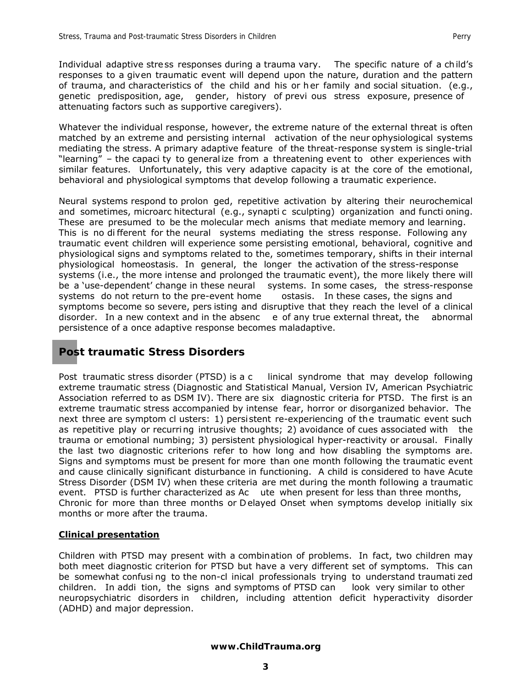Whatever the individual response, however, the extreme nature of the external threat is often matched by an extreme and persisting internal activation of the neur ophysiological systems mediating the stress. A primary adaptive feature of the threat-response system is single-trial "learning" – the capaci ty to general ize from a threatening event to other experiences with similar features. Unfortunately, this very adaptive capacity is at the core of the emotional, behavioral and physiological symptoms that develop following a traumatic experience.

Neural systems respond to prolon ged, repetitive activation by altering their neurochemical and sometimes, microarc hitectural (e.g., synapti c sculpting) organization and functi oning. These are presumed to be the molecular mech anisms that mediate memory and learning. This is no di fferent for the neural systems mediating the stress response. Following any traumatic event children will experience some persisting emotional, behavioral, cognitive and physiological signs and symptoms related to the, sometimes temporary, shifts in their internal physiological homeostasis. In general, the longer the activation of the stress-response systems (i.e., the more intense and prolonged the traumatic event), the more likely there will be a 'use-dependent' change in these neural systems. In some cases, the stress-response systems do not return to the pre-event home ostasis. In these cases, the signs and symptoms become so severe, pers isting and disruptive that they reach the level of a clinical disorder. In a new context and in the absenc e of any true external threat, the abnormal persistence of a once adaptive response becomes maladaptive.

# **Post traumatic Stress Disorders**

Post traumatic stress disorder (PTSD) is a c linical syndrome that may develop following extreme traumatic stress (Diagnostic and Statistical Manual, Version IV, American Psychiatric Association referred to as DSM IV). There are six diagnostic criteria for PTSD. The first is an extreme traumatic stress accompanied by intense fear, horror or disorganized behavior. The next three are symptom cl usters: 1) persi stent re-experiencing of the traumatic event such as repetitive play or recurring intrusive thoughts; 2) avoidance of cues associated with the trauma or emotional numbing; 3) persistent physiological hyper-reactivity or arousal. Finally the last two diagnostic criterions refer to how long and how disabling the symptoms are. Signs and symptoms must be present for more than one month following the traumatic event and cause clinically significant disturbance in functioning. A child is considered to have Acute Stress Disorder (DSM IV) when these criteria are met during the month following a traumatic event. PTSD is further characterized as Ac ute when present for less than three months, Chronic for more than three months or D elayed Onset when symptoms develop initially six months or more after the trauma.

#### **Clinical presentation**

Children with PTSD may present with a combination of problems. In fact, two children may both meet diagnostic criterion for PTSD but have a very different set of symptoms. This can be somewhat confusi ng to the non-cl inical professionals trying to understand traumati zed children. In addi tion, the signs and symptoms of PTSD can look very similar to other neuropsychiatric disorders in children, including attention deficit hyperactivity disorder (ADHD) and major depression.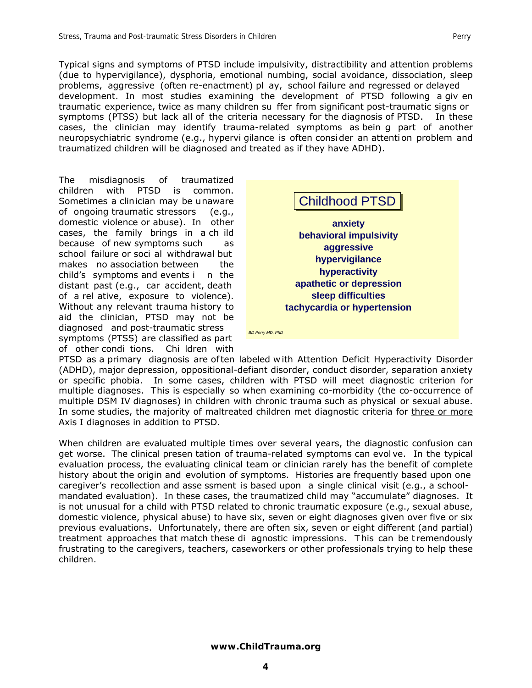Typical signs and symptoms of PTSD include impulsivity, distractibility and attention problems (due to hypervigilance), dysphoria, emotional numbing, social avoidance, dissociation, sleep problems, aggressive (often re-enactment) pl ay, school failure and regressed or delayed development. In most studies examining the development of PTSD following a giv en traumatic experience, twice as many children su ffer from significant post-traumatic signs or symptoms (PTSS) but lack all of the criteria necessary for the diagnosis of PTSD. In these cases, the clinician may identify trauma-related symptoms as bein g part of another neuropsychiatric syndrome (e.g., hypervi gilance is often consi der an attenti on problem and traumatized children will be diagnosed and treated as if they have ADHD).

The misdiagnosis of traumatized children with PTSD is common. Sometimes a clinician may be unaware of ongoing traumatic stressors (e.g., domestic violence or abuse). In other cases, the family brings in a ch ild because of new symptoms such as school failure or soci al withdrawal but makes no association between the child's symptoms and events i n the distant past (e.g., car accident, death of a rel ative, exposure to violence). Without any relevant trauma history to aid the clinician, PTSD may not be diagnosed and post-traumatic stress symptoms (PTSS) are classified as part of other condi tions. Chi ldren with



PTSD as a primary diagnosis are of ten labeled w ith Attention Deficit Hyperactivity Disorder (ADHD), major depression, oppositional-defiant disorder, conduct disorder, separation anxiety or specific phobia. In some cases, children with PTSD will meet diagnostic criterion for multiple diagnoses. This is especially so when examining co-morbidity (the co-occurrence of multiple DSM IV diagnoses) in children with chronic trauma such as physical or sexual abuse. In some studies, the majority of maltreated children met diagnostic criteria for *three or more* Axis I diagnoses in addition to PTSD.

When children are evaluated multiple times over several years, the diagnostic confusion can get worse. The clinical presen tation of trauma-related symptoms can evol ve. In the typical evaluation process, the evaluating clinical team or clinician rarely has the benefit of complete history about the origin and evolution of symptoms. Histories are frequently based upon one caregiver's recollection and asse ssment is based upon a single clinical visit (e.g., a schoolmandated evaluation). In these cases, the traumatized child may "accumulate" diagnoses. It is not unusual for a child with PTSD related to chronic traumatic exposure (e.g., sexual abuse, domestic violence, physical abuse) to have six, seven or eight diagnoses given over five or six previous evaluations. Unfortunately, there are often six, seven or eight different (and partial) treatment approaches that match these di agnostic impressions. T his can be t remendously frustrating to the caregivers, teachers, caseworkers or other professionals trying to help these children.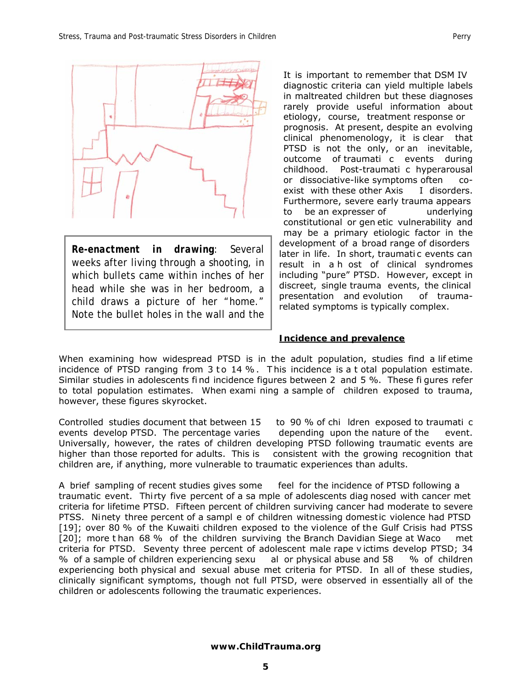

*Re-enactment in drawing*: Several weeks after living through a shooting, in which bullets came within inches of her head while she was in her bedroom, a child draws a picture of her "home." Note the bullet holes in the wall and the

It is important to remember that DSM IV diagnostic criteria can yield multiple labels in maltreated children but these diagnoses rarely provide useful information about etiology, course, treatment response or prognosis. At present, despite an evolving clinical phenomenology, it is clear that PTSD is not the only, or an inevitable, outcome of traumati c events during<br>childhood. Post-traumati c hyperarousal Post-traumati c hyperarousal or dissociative-like symptoms often coexist with these other Axis I disorders. Furthermore, severe early trauma appears to be an expresser of underlying constitutional or gen etic vulnerability and may be a primary etiologic factor in the development of a broad range of disorders later in life. In short, traumati c events can result in a h ost of clinical syndromes including "pure" PTSD. However, except in discreet, single trauma events, the clinical presentation and evolution of traumarelated symptoms is typically complex.

#### **Incidence and prevalence**

When examining how widespread PTSD is in the adult population, studies find a lif etime incidence of PTSD ranging from  $3$  to  $14\%$ . This incidence is a t otal population estimate. Similar studies in adolescents fi nd incidence figures between 2 and 5 %. These fi gures refer to total population estimates. When exami ning a sample of children exposed to trauma, however, these figures skyrocket.

Controlled studies document that between 15 to 90 % of chi ldren exposed to traumati c events develop PTSD. The percentage varies depending upon the nature of the event. Universally, however, the rates of children developing PTSD following traumatic events are higher than those reported for adults. This is consistent with the growing recognition that children are, if anything, more vulnerable to traumatic experiences than adults.

A brief sampling of recent studies gives some feel for the incidence of PTSD following a traumatic event. Thirty five percent of a sa mple of adolescents diag nosed with cancer met criteria for lifetime PTSD. Fifteen percent of children surviving cancer had moderate to severe PTSS. Ninety three percent of a sampl e of children witnessing domestic violence had PTSD [19]; over 80 % of the Kuwaiti children exposed to the violence of the Gulf Crisis had PTSS [20]; more t han 68 % of the children surviving the Branch Davidian Siege at Waco met criteria for PTSD. Seventy three percent of adolescent male rape v ictims develop PTSD; 34 % of a sample of children experiencing sexu al or physical abuse and 58 % of children experiencing both physical and sexual abuse met criteria for PTSD. In all of these studies, clinically significant symptoms, though not full PTSD, were observed in essentially all of the children or adolescents following the traumatic experiences.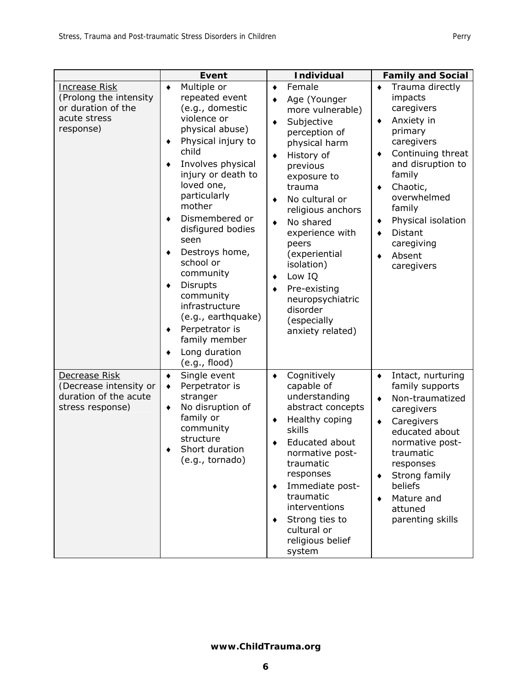|                                                                                                   | Event                                                                                                                                                                                                                                                                                                                                                                                                                                                                                | <b>Individual</b>                                                                                                                                                                                                                                                                                                                                                                                            | <b>Family and Social</b>                                                                                                                                                                                                                                                                             |
|---------------------------------------------------------------------------------------------------|--------------------------------------------------------------------------------------------------------------------------------------------------------------------------------------------------------------------------------------------------------------------------------------------------------------------------------------------------------------------------------------------------------------------------------------------------------------------------------------|--------------------------------------------------------------------------------------------------------------------------------------------------------------------------------------------------------------------------------------------------------------------------------------------------------------------------------------------------------------------------------------------------------------|------------------------------------------------------------------------------------------------------------------------------------------------------------------------------------------------------------------------------------------------------------------------------------------------------|
| <b>Increase Risk</b><br>(Prolong the intensity<br>or duration of the<br>acute stress<br>response) | Multiple or<br>٠<br>repeated event<br>(e.g., domestic<br>violence or<br>physical abuse)<br>Physical injury to<br>٠<br>child<br>Involves physical<br>٠<br>injury or death to<br>loved one,<br>particularly<br>mother<br>Dismembered or<br>٠<br>disfigured bodies<br>seen<br>Destroys home,<br>٠<br>school or<br>community<br><b>Disrupts</b><br>٠<br>community<br>infrastructure<br>(e.g., earthquake)<br>Perpetrator is<br>٠<br>family member<br>Long duration<br>٠<br>(e.g., flood) | Female<br>$\bullet$<br>Age (Younger<br>٠<br>more vulnerable)<br>Subjective<br>٠<br>perception of<br>physical harm<br>History of<br>٠<br>previous<br>exposure to<br>trauma<br>No cultural or<br>٠<br>religious anchors<br>No shared<br>$\bullet$<br>experience with<br>peers<br>(experiential<br>isolation)<br>Low IQ<br>٠<br>Pre-existing<br>neuropsychiatric<br>disorder<br>(especially<br>anxiety related) | Trauma directly<br>$\bullet$<br>impacts<br>caregivers<br>Anxiety in<br>٠<br>primary<br>caregivers<br>Continuing threat<br>٠<br>and disruption to<br>family<br>Chaotic,<br>٠<br>overwhelmed<br>family<br>Physical isolation<br>٠<br><b>Distant</b><br>$\bullet$<br>caregiving<br>Absent<br>caregivers |
| <b>Decrease Risk</b><br>(Decrease intensity or<br>duration of the acute<br>stress response)       | Single event<br>٠<br>Perpetrator is<br>٠<br>stranger<br>No disruption of<br>٠<br>family or<br>community<br>structure<br>Short duration<br>(e.g., tornado)                                                                                                                                                                                                                                                                                                                            | Cognitively<br>٠<br>capable of<br>understanding<br>abstract concepts<br>Healthy coping<br>٠<br>skills<br>Educated about<br>normative post-<br>traumatic<br>responses<br>Immediate post-<br>٠<br>traumatic<br>interventions<br>Strong ties to<br>٠<br>cultural or<br>religious belief<br>system                                                                                                               | Intact, nurturing<br>٠<br>family supports<br>Non-traumatized<br>$\bullet$<br>caregivers<br>Caregivers<br>٠<br>educated about<br>normative post-<br>traumatic<br>responses<br>Strong family<br>٠<br>beliefs<br>Mature and<br>٠<br>attuned<br>parenting skills                                         |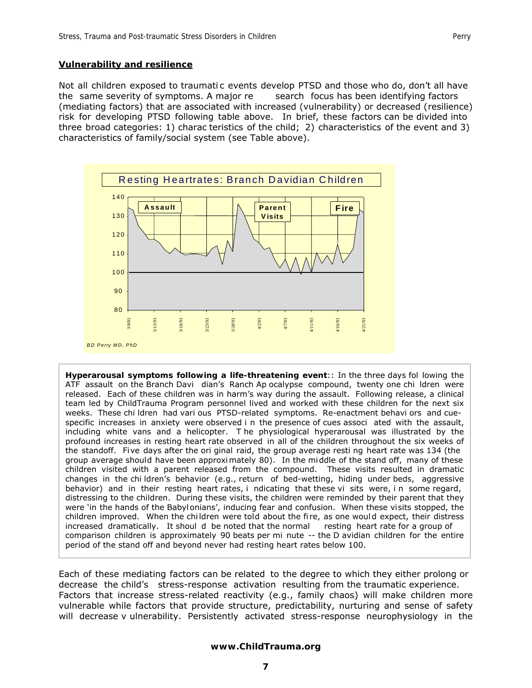#### **Vulnerability and resilience**

Not all children exposed to traumatic events develop PTSD and those who do, don't all have the same severity of symptoms. A major re search focus has been identifying factors (mediating factors) that are associated with increased (vulnerability) or decreased (resilience) risk for developing PTSD following table above. In brief, these factors can be divided into three broad categories: 1) charac teristics of the child; 2) characteristics of the event and 3) characteristics of family/social system (see Table above).



**Hyperarousal symptoms following a life-threatening event**:: In the three days fol lowing the ATF assault on the Branch Davi dian's Ranch Ap ocalypse compound, twenty one chi ldren were released. Each of these children was in harm's way during the assault. Following release, a clinical team led by ChildTrauma Program personnel lived and worked with these children for the next six weeks. These chi ldren had vari ous PTSD-related symptoms. Re-enactment behavi ors and cuespecific increases in anxiety were observed i n the presence of cues associ ated with the assault, including white vans and a helicopter. T he physiological hyperarousal was illustrated by the profound increases in resting heart rate observed in all of the children throughout the six weeks of the standoff. Fi ve days after the ori ginal raid, the group average resti ng heart rate was 134 (the group average should have been approximately 80). In the mi ddle of the stand off, many of these children visited with a parent released from the compound. These visits resulted in dramatic changes in the chi ldren's behavior (e.g., return of bed-wetting, hiding under beds, aggressive behavior) and in their resting heart rates, i ndicating that these vi sits were, in some regard, distressing to the children. During these visits, the children were reminded by their parent that they were 'in the hands of the Babyl onians', inducing fear and confusion. When these visits stopped, the children improved. When the chi ldren were told about the fi re, as one woul d expect, their distress increased dramatically. It shoul d be noted that the normal resting heart rate for a group of comparison children is approximately 90 beats per mi nute -- the D avidian children for the entire period of the stand off and beyond never had resting heart rates below 100.

Each of these mediating factors can be related to the degree to which they either prolong or decrease the child's stress-response activation resulting from the traumatic experience. Factors that increase stress-related reactivity (e.g., family chaos) will make children more vulnerable while factors that provide structure, predictability, nurturing and sense of safety will decrease v ulnerability. Persistently activated stress-response neurophysiology in the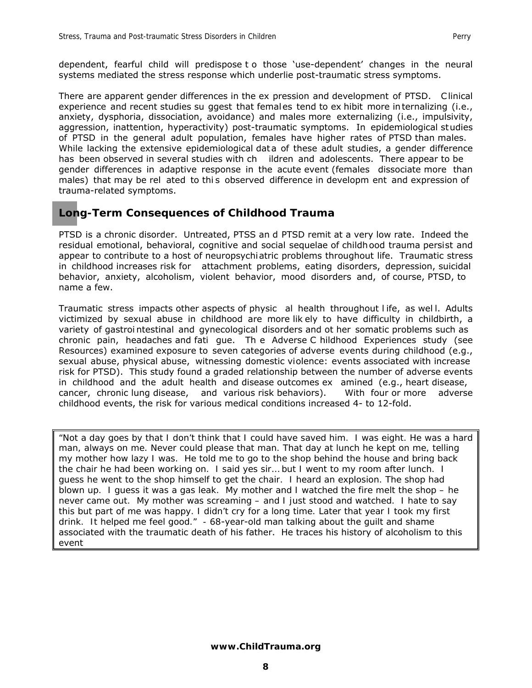dependent, fearful child will predispose t o those 'use-dependent' changes in the neural systems mediated the stress response which underlie post-traumatic stress symptoms.

There are apparent gender differences in the ex pression and development of PTSD. Clinical experience and recent studies su ggest that females tend to ex hibit more in ternalizing (i.e., anxiety, dysphoria, dissociation, avoidance) and males more externalizing (i.e., impulsivity, aggression, inattention, hyperactivity) post-traumatic symptoms. In epidemiological studies of PTSD in the general adult population, females have higher rates of PTSD than males. While lacking the extensive epidemiological data of these adult studies, a gender difference has been observed in several studies with ch ildren and adolescents. There appear to be gender differences in adaptive response in the acute event (females dissociate more than males) that may be rel ated to this observed difference in developm ent and expression of trauma-related symptoms.

### **Long-Term Consequences of Childhood Trauma**

PTSD is a chronic disorder. Untreated, PTSS an d PTSD remit at a very low rate. Indeed the residual emotional, behavioral, cognitive and social sequelae of childhood trauma persist and appear to contribute to a host of neuropsychi atric problems throughout life. Traumatic stress in childhood increases risk for attachment problems, eating disorders, depression, suicidal behavior, anxiety, alcoholism, violent behavior, mood disorders and, of course, PTSD, to name a few.

Traumatic stress impacts other aspects of physic al health throughout l ife, as wel l. Adults victimized by sexual abuse in childhood are more lik ely to have difficulty in childbirth, a variety of gastroi ntestinal and gynecological disorders and ot her somatic problems such as chronic pain, headaches and fati gue. Th e Adverse C hildhood Experiences study (see Resources) examined exposure to seven categories of adverse events during childhood (e.g., sexual abuse, physical abuse, witnessing domestic violence: events associated with increase risk for PTSD). This study found a graded relationship between the number of adverse events in childhood and the adult health and disease outcomes ex amined (e.g., heart disease, cancer, chronic lung disease, and various risk behaviors). With four or more adverse childhood events, the risk for various medical conditions increased 4- to 12-fold.

*"Not a day goes by that I don't think that I could have saved him. I was eight. He was a hard man, always on me. Never could please that man. That day at lunch he kept on me, telling my mother how lazy I was. He told me to go to the shop behind the house and bring back the chair he had been working on. I said yes sir… but I went to my room after lunch. I guess he went to the shop himself to get the chair. I heard an explosion. The shop had blown up. I guess it was a gas leak. My mother and I watched the fire melt the shop – he never came out. My mother was screaming – and I just stood and watched. I hate to say this but part of me was happy. I didn't cry for a long time. Later that year I took my first drink. It helped me feel good." -* 68-year-old man talking about the guilt and shame associated with the traumatic death of his father. He traces his history of alcoholism to this event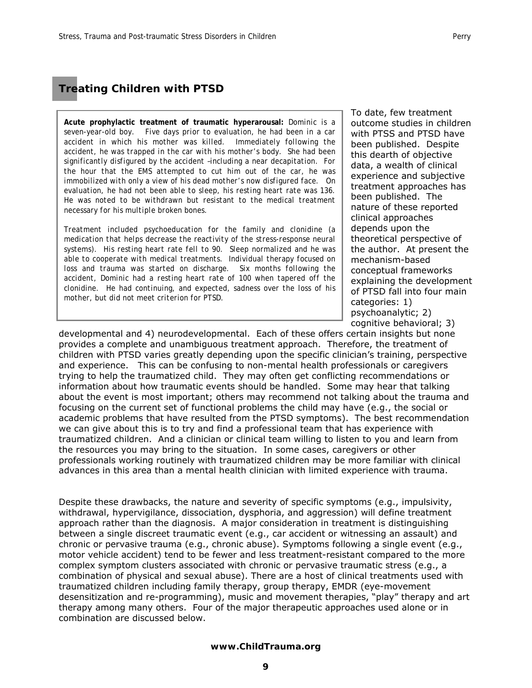**Acute prophylactic treatment of traumatic hyperarousal:** *Dominic is a seven-year-old boy. Five days prior to evaluation, he had been in a car accident in which his mother was killed. Immediately following the accident, he was trapped in the car with his mother's body. She had been significantly disfigured by the accident –including a near decapitation. For the hour that the EMS attempted to cut him out of the car, he was immobilized with only a view of his dead mother's now disfigured face. On evaluation, he had not been able to sleep, his resting heart rate was 136. He was noted to be withdrawn but resistant to the medical treatment necessary for his multiple broken bones.* 

*Treatment included psychoeducation for the family and clonidine (a medication that helps decrease the reactivity of the stress-response neural systems). His resting heart rate fell to 90. Sleep normalized and he was able to cooperate with medical treatments. Individual therapy focused on loss and trauma was started on discharge. Six months following the accident, Dominic had a resting heart rate of 100 when tapered off the clonidine. He had continuing, and expected, sadness over the loss of his mother, but did not meet criterion for PTSD.* 

To date, few treatment outcome studies in children with PTSS and PTSD have been published. Despite this dearth of objective data, a wealth of clinical experience and subjective treatment approaches has been published. The nature of these reported clinical approaches depends upon the theoretical perspective of the author. At present the mechanism-based conceptual frameworks explaining the development of PTSD fall into four main categories: 1) psychoanalytic; 2) cognitive behavioral; 3)

developmental and 4) neurodevelopmental. Each of these offers certain insights but none provides a complete and unambiguous treatment approach. Therefore, the treatment of children with PTSD varies greatly depending upon the specific clinician's training, perspective and experience. This can be confusing to non-mental health professionals or caregivers trying to help the traumatized child. They may often get conflicting recommendations or information about how traumatic events should be handled. Some may hear that talking about the event is most important; others may recommend not talking about the trauma and focusing on the current set of functional problems the child may have (e.g., the social or academic problems that have resulted from the PTSD symptoms). The best recommendation we can give about this is to try and find a professional team that has experience with traumatized children. And a clinician or clinical team willing to listen to you and learn from the resources you may bring to the situation. In some cases, caregivers or other professionals working routinely with traumatized children may be more familiar with clinical advances in this area than a mental health clinician with limited experience with trauma.

Despite these drawbacks, the nature and severity of specific symptoms (e.g., impulsivity, withdrawal, hypervigilance, dissociation, dysphoria, and aggression) will define treatment approach rather than the diagnosis. A major consideration in treatment is distinguishing between a single discreet traumatic event (e.g., car accident or witnessing an assault) and chronic or pervasive trauma (e.g., chronic abuse). Symptoms following a single event (e.g., motor vehicle accident) tend to be fewer and less treatment-resistant compared to the more complex symptom clusters associated with chronic or pervasive traumatic stress (e.g., a combination of physical and sexual abuse). There are a host of clinical treatments used with traumatized children including family therapy, group therapy, EMDR (eye-movement desensitization and re-programming), music and movement therapies, "play" therapy and art therapy among many others. Four of the major therapeutic approaches used alone or in combination are discussed below.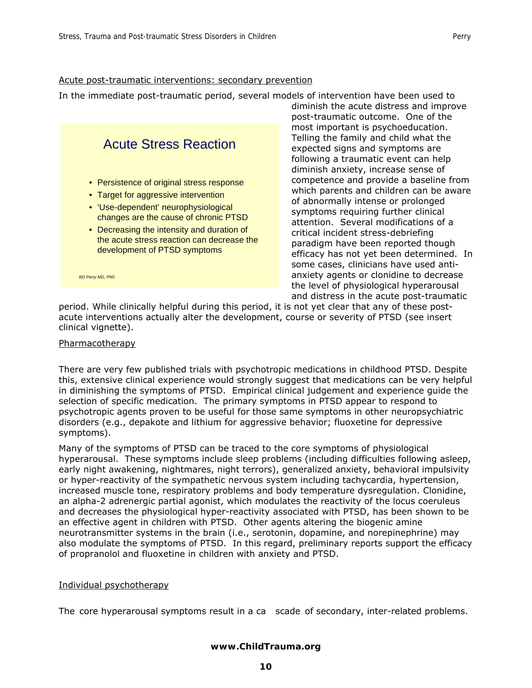In the immediate post-traumatic period, several models of intervention have been used to



diminish the acute distress and improve post-traumatic outcome. One of the most important is psychoeducation. Telling the family and child what the expected signs and symptoms are following a traumatic event can help diminish anxiety, increase sense of competence and provide a baseline from which parents and children can be aware of abnormally intense or prolonged symptoms requiring further clinical attention. Several modifications of a critical incident stress-debriefing paradigm have been reported though efficacy has not yet been determined. In some cases, clinicians have used antianxiety agents or clonidine to decrease the level of physiological hyperarousal and distress in the acute post-traumatic

period. While clinically helpful during this period, it is not yet clear that any of these postacute interventions actually alter the development, course or severity of PTSD (see insert clinical vignette).

#### Pharmacotherapy

There are very few published trials with psychotropic medications in childhood PTSD. Despite this, extensive clinical experience would strongly suggest that medications can be very helpful in diminishing the symptoms of PTSD. Empirical clinical judgement and experience guide the selection of specific medication. The primary symptoms in PTSD appear to respond to psychotropic agents proven to be useful for those same symptoms in other neuropsychiatric disorders (e.g., depakote and lithium for aggressive behavior; fluoxetine for depressive symptoms).

Many of the symptoms of PTSD can be traced to the core symptoms of physiological hyperarousal. These symptoms include sleep problems (including difficulties following asleep, early night awakening, nightmares, night terrors), generalized anxiety, behavioral impulsivity or hyper-reactivity of the sympathetic nervous system including tachycardia, hypertension, increased muscle tone, respiratory problems and body temperature dysregulation. Clonidine, an alpha-2 adrenergic partial agonist, which modulates the reactivity of the locus coeruleus and decreases the physiological hyper-reactivity associated with PTSD, has been shown to be an effective agent in children with PTSD. Other agents altering the biogenic amine neurotransmitter systems in the brain (i.e., serotonin, dopamine, and norepinephrine) may also modulate the symptoms of PTSD. In this regard, preliminary reports support the efficacy of propranolol and fluoxetine in children with anxiety and PTSD.

#### Individual psychotherapy

The core hyperarousal symptoms result in a ca scade of secondary, inter-related problems.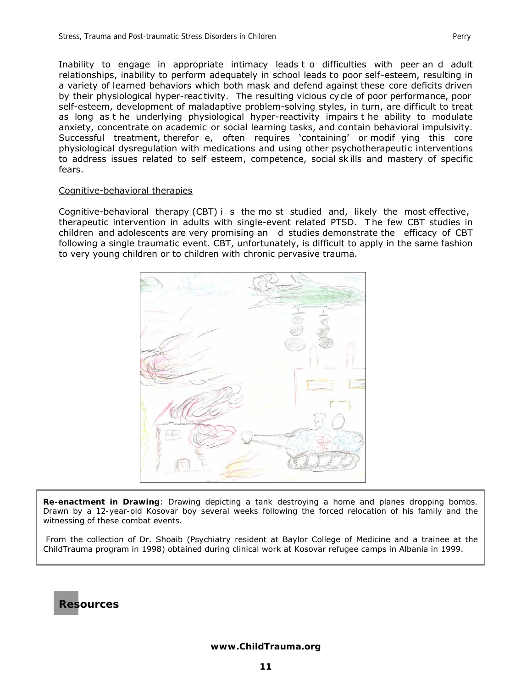Inability to engage in appropriate intimacy leads t o difficulties with peer an d adult relationships, inability to perform adequately in school leads to poor self-esteem, resulting in a variety of learned behaviors which both mask and defend against these core deficits driven by their physiological hyper-reac tivity. The resulting vicious cycle of poor performance, poor self-esteem, development of maladaptive problem-solving styles, in turn, are difficult to treat as long as t he underlying physiological hyper-reactivity impairs t he ability to modulate anxiety, concentrate on academic or social learning tasks, and contain behavioral impulsivity. Successful treatment, therefor e, often requires 'containing' or modif ying this core physiological dysregulation with medications and using other psychotherapeutic interventions to address issues related to self esteem, competence, social sk ills and mastery of specific fears.

#### Cognitive-behavioral therapies

Cognitive-behavioral therapy (CBT) i s the mo st studied and, likely the most effective, therapeutic intervention in adults with single-event related PTSD. T he few CBT studies in children and adolescents are very promising an d studies demonstrate the efficacy of CBT following a single traumatic event. CBT, unfortunately, is difficult to apply in the same fashion to very young children or to children with chronic pervasive trauma.



**Re-enactment in Drawing**: *Drawing depicting a tank destroying a home and planes dropping bombs. Drawn by a 12-year-old Kosovar boy several weeks following the forced relocation of his family and the witnessing of these combat events.* 

 From the collection of Dr. Shoaib (Psychiatry resident at Baylor College of Medicine and a trainee at the ChildTrauma program in 1998) obtained during clinical work at Kosovar refugee camps in Albania in 1999.



I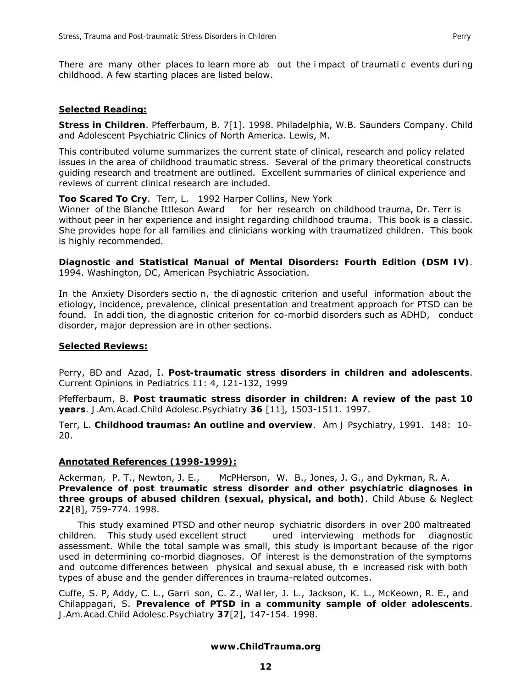#### *Selected Reading:*

**Stress in Children**. Pfefferbaum, B. 7[1]. 1998. Philadelphia, W.B. Saunders Company. Child and Adolescent Psychiatric Clinics of North America. Lewis, M.

This contributed volume summarizes the current state of clinical, research and policy related issues in the area of childhood traumatic stress. Several of the primary theoretical constructs guiding research and treatment are outlined. Excellent summaries of clinical experience and reviews of current clinical research are included.

#### **Too Scared To Cry**. Terr, L. 1992 Harper Collins, New York

Winner of the Blanche Ittleson Award for her research on childhood trauma, Dr. Terr is without peer in her experience and insight regarding childhood trauma. This book is a classic. She provides hope for all families and clinicians working with traumatized children. This book is highly recommended.

**Diagnostic and Statistical Manual of Mental Disorders: Fourth Edition (DSM IV)**. 1994. Washington, DC, American Psychiatric Association.

In the Anxiety Disorders sectio n, the di agnostic criterion and useful information about the etiology, incidence, prevalence, clinical presentation and treatment approach for PTSD can be found. In addi tion, the di agnostic criterion for co-morbid disorders such as ADHD, conduct disorder, major depression are in other sections.

#### *Selected Reviews:*

Perry, BD and Azad, I. **Post-traumatic stress disorders in children and adolescents**. *Current Opinions in Pediatrics* 11: 4, 121-132, 1999

Pfefferbaum, B. **Post traumatic stress disorder in children: A review of the past 10 years**. *J.Am.Acad.Child Adolesc.Psychiatry* **36** [11], 1503-1511. 1997.

Terr, L. **Childhood traumas: An outline and overview***. Am J Psychiatry*, 1991. 148: 10- 20.

#### *Annotated References (1998-1999):*

Ackerman, P. T., Newton, J. E., McPHerson, W. B., Jones, J. G., and Dykman, R. A. **Prevalence of post traumatic stress disorder and other psychiatric diagnoses in three groups of abused children (sexual, physical, and both)**. *Child Abuse & Neglect*  **22**[8], 759-774. 1998.

 This study examined PTSD and other neurop sychiatric disorders in over 200 maltreated children. This study used excellent struct ured interviewing methods for diagnostic assessment. While the total sample w as small, this study is import ant because of the rigor used in determining co-morbid diagnoses. Of interest is the demonstration of the symptoms and outcome differences between physical and sexual abuse, th e increased risk with both types of abuse and the gender differences in trauma-related outcomes.

Cuffe, S. P, Addy, C. L., Garri son, C. Z., Wal ler, J. L., Jackson, K. L., McKeown, R. E., and Chilappagari, S. **Prevalence of PTSD in a community sample of older adolescents**. *J.Am.Acad.Child Adolesc.Psychiatry* **37**[2], 147-154. 1998.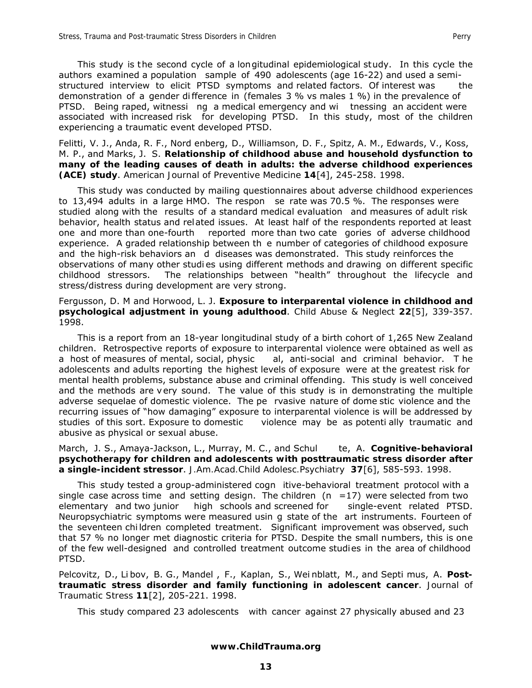This study is the second cycle of a longitudinal epidemiological study. In this cycle the authors examined a population sample of 490 adolescents (age 16-22) and used a semistructured interview to elicit PTSD symptoms and related factors. Of interest was the demonstration of a gender di fference in (females 3 % vs males 1 %) in the prevalence of PTSD. Being raped, witnessi ng a medical emergency and wi tnessing an accident were associated with increased risk for developing PTSD. In this study, most of the children experiencing a traumatic event developed PTSD.

Felitti, V. J., Anda, R. F., Nord enberg, D., Williamson, D. F., Spitz, A. M., Edwards, V., Koss, M. P., and Marks, J. S. **Relationship of childhood abuse and household dysfunction to many of the leading causes of death in adults: the adverse childhood experiences (ACE) study**. *American Journal of Preventive Medicine* **14**[4], 245-258. 1998.

 This study was conducted by mailing questionnaires about adverse childhood experiences to 13,494 adults in a large HMO. The respon se rate was 70.5 %. The responses were studied along with the results of a standard medical evaluation and measures of adult risk behavior, health status and related issues. At least half of the respondents reported at least one and more than one-fourth reported more than two cate gories of adverse childhood experience. A graded relationship between th e number of categories of childhood exposure and the high-risk behaviors an d diseases was demonstrated. This study reinforces the observations of many other studi es using different methods and drawing on different specific childhood stressors. The relationships between "health" throughout the lifecycle and stress/distress during development are very strong.

Fergusson, D. M and Horwood, L. J. **Exposure to interparental violence in childhood and psychological adjustment in young adulthood**. *Child Abuse & Neglect* **22**[5], 339-357. 1998.

 This is a report from an 18-year longitudinal study of a birth cohort of 1,265 New Zealand children. Retrospective reports of exposure to interparental violence were obtained as well as a host of measures of mental, social, physic al, anti-social and criminal behavior. T he adolescents and adults reporting the highest levels of exposure were at the greatest risk for mental health problems, substance abuse and criminal offending. This study is well conceived and the methods are very sound. The value of this study is in demonstrating the multiple adverse sequelae of domestic violence. The pe rvasive nature of dome stic violence and the recurring issues of "how damaging" exposure to interparental violence is will be addressed by studies of this sort. Exposure to domestic violence may be as potenti ally traumatic and abusive as physical or sexual abuse.

March, J. S., Amaya-Jackson, L., Murray, M. C., and Schul te, A. **Cognitive-behavioral psychotherapy for children and adolescents with posttraumatic stress disorder after a single-incident stressor**. *J.Am.Acad.Child Adolesc.Psychiatry* **37**[6], 585-593. 1998.

 This study tested a group-administered cogn itive-behavioral treatment protocol with a single case across time and setting design. The children  $(n = 17)$  were selected from two elementary and two junior high schools and screened for single-event related PTSD. Neuropsychiatric symptoms were measured usin g state of the art instruments. Fourteen of the seventeen chi ldren completed treatment. Significant improvement was observed, such that 57 % no longer met diagnostic criteria for PTSD. Despite the small numbers, this is one of the few well-designed and controlled treatment outcome studies in the area of childhood PTSD.

Pelcovitz, D., Li bov, B. G., Mandel , F., Kaplan, S., Wei nblatt, M., and Septi mus, A. **Posttraumatic stress disorder and family functioning in adolescent cancer**. *Journal of Traumatic Stress* **11**[2], 205-221. 1998.

This study compared 23 adolescents with cancer against 27 physically abused and 23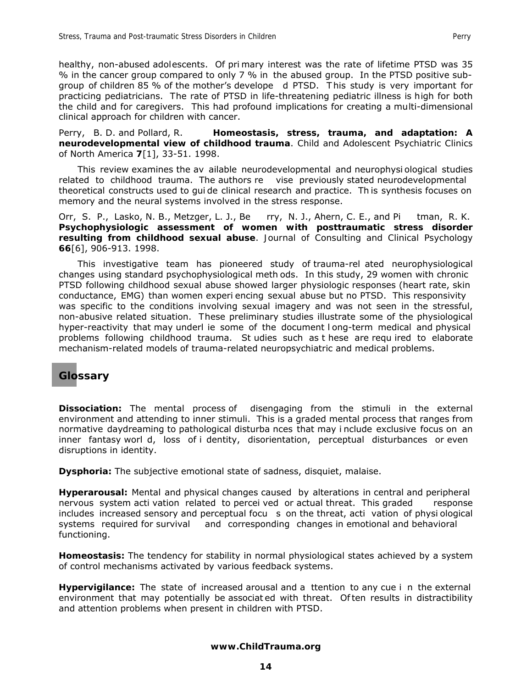healthy, non-abused adolescents. Of pri mary interest was the rate of lifetime PTSD was 35 % in the cancer group compared to only 7 % in the abused group. In the PTSD positive subgroup of children 85 % of the mother's develope d PTSD. T his study is very important for practicing pediatricians. The rate of PTSD in life-threatening pediatric illness is high for both the child and for caregivers. This had profound implications for creating a multi-dimensional clinical approach for children with cancer.

Perry, B. D. and Pollard, R. **Homeostasis, stress, trauma, and adaptation: A neurodevelopmental view of childhood trauma**. *Child and Adolescent Psychiatric Clinics of North America* **7**[1], 33-51. 1998.

 This review examines the av ailable neurodevelopmental and neurophysi ological studies related to childhood trauma. The authors re vise previously stated neurodevelopmental theoretical constructs used to gui de clinical research and practice. Th is synthesis focuses on memory and the neural systems involved in the stress response.

Orr, S. P., Lasko, N. B., Metzger, L. J., Be rry, N. J., Ahern, C. E., and Pi tman, R. K. **Psychophysiologic assessment of women with posttraumatic stress disorder resulting from childhood sexual abuse**. *Journal of Consulting and Clinical Psychology*  **66**[6], 906-913. 1998.

 This investigative team has pioneered study of trauma-rel ated neurophysiological changes using standard psychophysiological meth ods. In this study, 29 women with chronic PTSD following childhood sexual abuse showed larger physiologic responses (heart rate, skin conductance, EMG) than women experi encing sexual abuse but no PTSD. This responsivity was specific to the conditions involving sexual imagery and was not seen in the stressful, non-abusive related situation. These preliminary studies illustrate some of the physiological hyper-reactivity that may underl ie some of the document l ong-term medical and physical problems following childhood trauma. St udies such as t hese are requ ired to elaborate mechanism-related models of trauma-related neuropsychiatric and medical problems.

# **Glossary**

**Dissociation:** The mental process of disengaging from the stimuli in the external environment and attending to inner stimuli. This is a graded mental process that ranges from normative daydreaming to pathological disturba nces that may i nclude exclusive focus on an inner fantasy worl d, loss of i dentity, disorientation, perceptual disturbances or even disruptions in identity.

**Dysphoria:** The subjective emotional state of sadness, disquiet, malaise.

**Hyperarousal:** Mental and physical changes caused by alterations in central and peripheral nervous system acti vation related to percei ved or actual threat. This graded response includes increased sensory and perceptual focu s on the threat, acti vation of physi ological systems required for survival and corresponding changes in emotional and behavioral functioning.

**Homeostasis:** The tendency for stability in normal physiological states achieved by a system of control mechanisms activated by various feedback systems.

**Hypervigilance:** The state of increased arousal and a ttention to any cue i n the external environment that may potentially be associat ed with threat. Of ten results in distractibility and attention problems when present in children with PTSD.